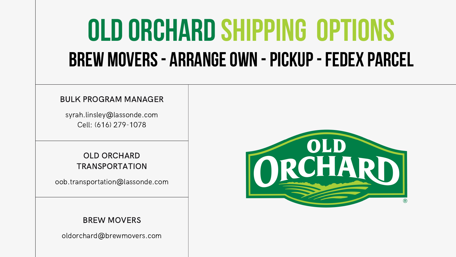## **OLD ORCHARD SHIPPING OPTIONS bREW mOVERS- ARRANGEOWN -PICKUP-fEDEX parcel**

syrah.linsley@lassonde.com Cell: (616) 279-1078

### BULK PROGRAM MANAGER

oob.transportation@lassonde.com

### OLD ORCHARD TRANSPORTATION

oldorchard@brewmovers.com



## BREW MOVERS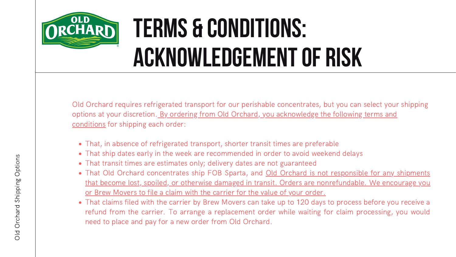

# **TERMS & CONDITIONS: ACKNOWLEDGEMENTOF RISK**

- That, in absence of refrigerated transport, shorter transit times are preferable
- That ship dates early in the week are recommended in order to avoid weekend delays
- That transit times are estimates only; delivery dates are not guaranteed
- That Old Orchard concentrates ship FOB Sparta, and Old Orchard is not responsible for any shipments that become lost, spoiled, or otherwise damaged in transit. Orders are nonrefundable. We encourage you or Brew Movers to file a claim with the carrier for the value of your order.
- That claims filed with the carrier by Brew Movers can take up to 120 days to process before you receive a refund from the carrier. To arrange a replacement order while waiting for claim processing, you would need to place and pay for a new order from Old Orchard.

Old Orchard requires refrigerated transport for our perishable concentrates, but you can select your shipping options at your discretion. By ordering from Old Orchard, you acknowledge the following terms and conditions for shipping each order: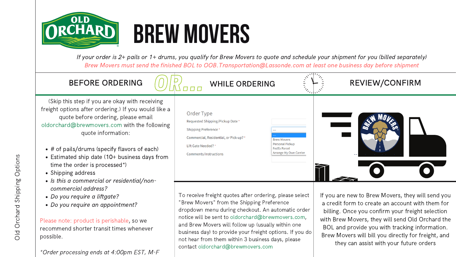

## **BREW MOVERS**

- $\bullet$  # of pails/drums (specify flavors of each)
- Estimated ship date (10+ business days from time the order is processed\*)
- Shipping address
- Is this a commercial or residential/noncommercial address?
- Do you require a liftgate?
- Do you require an appointment?

(Skip this step if you are okay with receiving freight options after ordering.) If you would like a quote before ordering, please email oldorchard@brewmovers.com with the following quote information:

Please note: product is perishable, so we recommend shorter transit times whenever possible.

\*Order processing ends at 4:00pm EST, M-F





To receive freight quotes after ordering, please select "Brew Movers" from the Shipping Preference dropdown menu during checkout. An automatic order notice will be sent to oldorchard@brewmovers.com, and Brew Movers will follow up (usually within one business day) to provide your freight options. If you do not hear from them within 3 business days, please contact oldorchard@brewmovers.com

## WHILE ORDERING

they can assist with your future orders

If your order is 2+ pails or 1+ drums, you qualify for Brew Movers to quote and schedule your shipment for you (billed separately) Brew Movers must send the finished BOL to OOB.Transportation@Lassonde.com at least one business day before shipment

## OR.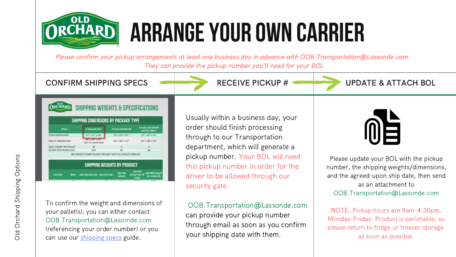

## **ARRANGEYOUR OWN CARRIER**

To confirm the weight and dimensions of your pallet(s), you can either contact OOB.Transportation@Lassonde.com (referencing your order number) or you can use our [shipping](https://oldorchard.com/uploads/files/OO-Shipping-Specs.pdf) specs guide.

### RECEIVE PICKUP #

Usually within a business day, y order should finish processing through to our Transportation department, which will generate pickup number. Your BOL will this pickup number in order for driver to be allowed through ou security gate.

OOB. Transportation@Lassond can provide your pickup number through email as soon as you confirm your shipping date with them.

Please confirm your pickup arrangements at least one business day in advance with OOB.Transportation@Lassonde.com. They can provide the pickup number you'll need for your BOL

| #            | <b>UPDATE &amp; ATTACH BOL</b>                                     |
|--------------|--------------------------------------------------------------------|
| /OUr         |                                                                    |
| e a          |                                                                    |
| need         | Please update your BOL with the pickup                             |
| r the        | number, the shipping weights/dimensions,                           |
| Jr           | and the agreed-upon ship date, then send                           |
|              | as an attachment to                                                |
|              | OOB. Transportation@Lassonde.com                                   |
| de.com       | NOTE: Pickup hours are 8am-4:30pm,                                 |
| er<br>onfirm | Monday-Friday. Product is perishable, so                           |
|              | please return to fridge or freezer storage<br>as soon as possible. |
|              |                                                                    |

### CONFIRM SHIPPING SPECS

| OLD<br><b>SHIPPING WEIGHTS &amp; SPECIFICATIONS</b><br>CHARD<br><b>SHIPPING DIMENSIONS BY PACKAGE TYPE</b> |                                        |                                    |                                                                                              |  |  |
|------------------------------------------------------------------------------------------------------------|----------------------------------------|------------------------------------|----------------------------------------------------------------------------------------------|--|--|
|                                                                                                            |                                        |                                    |                                                                                              |  |  |
| <b>ITEM DIMENSIONS</b>                                                                                     | 12" x 12" x 18"                        | 23" x 23" x 35"                    | 23" x 23" x 35"                                                                              |  |  |
| <b>PALLET DIMENSIONS</b>                                                                                   | 40" x 48" x 18"<br>*per 12-count layer | 40" x 48" x 50"                    | 40" x 48" x 50"                                                                              |  |  |
| <b>MAX. COUNT PER PALLET</b>                                                                               | 36                                     | 4                                  | 4                                                                                            |  |  |
| <b>COUNT PER TRUCKLOAD</b>                                                                                 | N/A                                    | 68                                 | 68                                                                                           |  |  |
| SEE WEIGHT CHART BELOW FOR UNIT AND FULL PALLET WEIGHTS                                                    |                                        |                                    |                                                                                              |  |  |
|                                                                                                            |                                        | <b>SHIPPING WEIGHTS BY PRODUCT</b> |                                                                                              |  |  |
| <b>FLAVOR</b><br><b>BRIX</b>                                                                               | <b>LBS PER GALLON LBS PER PAIL</b>     | <b>LBS PER</b><br><b>DRUM</b>      | <b>LBS PER</b><br><b>LBS PER PALLET</b><br><b>PALLET OF 36</b><br>OF 4 DRUMS<br><b>PAILS</b> |  |  |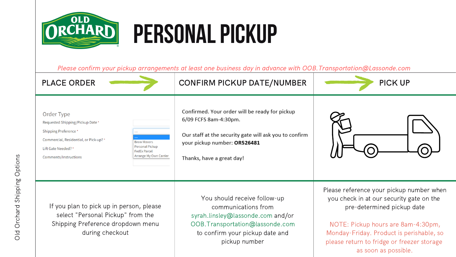

# PERSONAL PICKUP

PLACE ORDER

If you plan to pick up in person, please select "Personal Pickup" from the Shipping Preference dropdown menu during checkout

### Please confirm your pickup arrangements at least one business day in advance with OOB.Transportation@Lassonde.com CONFIRM PICKUP DATE/NUMBER | PICK UP Confirmed. Your order will be ready for pickup 6/09 FCFS 8am-4:30pm. Our staff at the security gate will ask you to confirm your pickup number: OR526481 Thanks, have a great day! Please reference your pickup number when You should receive follow-up you check in at our security gate on the communications from pre-determined pickup date syrah.linsley@lassonde.com and/or OOB.Transportation@lassonde.com NOTE: Pickup hours are 8am-4:30pm, to confirm your pickup date and Monday-Friday. Product is perishable, so pickup number please return to fridge or freezer storage as soon as possible.

Order Type

Requested Shipping/Pickup Date\*

Shipping Preference\*

Commercial, Residential, or Pick-up?\*

Lift Gate Needed? \*

Comments/Instructions

| <b>Brew Movers</b>     |  |  |
|------------------------|--|--|
| <b>Personal Pickup</b> |  |  |
| <b>FedEx Parcel</b>    |  |  |
| Arrange My Own Carrier |  |  |
|                        |  |  |